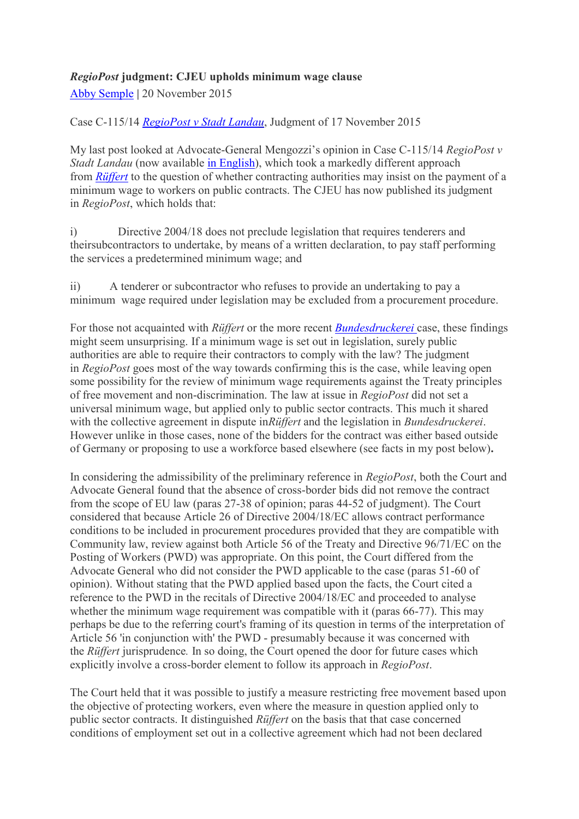# *RegioPost* **judgment: CJEU upholds minimum wage clause**

[Abby Semple](http://www.procurementanalysis.eu/4.html) **|** 20 November 2015

Case C-115/14 *[RegioPost v Stadt Landau](http://curia.europa.eu/juris/celex.jsf?celex=62014CC0115&lang1=en&type=TXT&ancre=)*, Judgment of 17 November 2015

My last post looked at Advocate-General Mengozzi's opinion in Case C-115/14 *RegioPost v Stadt Landau* (now available [in English\)](http://curia.europa.eu/juris/celex.jsf?celex=62014CC0115&lang1=en&type=TXT&ancre=), which took a markedly different approach from *[Rüffert](http://curia.europa.eu/juris/liste.jsf?language=en&num=C-346/06)* to the question of whether contracting authorities may insist on the payment of a minimum wage to workers on public contracts. The CJEU has now published its judgment in *RegioPost*, which holds that:

i) Directive 2004/18 does not preclude legislation that requires tenderers and theirsubcontractors to undertake, by means of a written declaration, to pay staff performing the services a predetermined minimum wage; and

ii) A tenderer or subcontractor who refuses to provide an undertaking to pay a minimum wage required under legislation may be excluded from a procurement procedure.

For those not acquainted with *Rüffert* or the more recent *[Bundesdruckerei](http://curia.europa.eu/juris/celex.jsf?celex=62013CJ0549&lang1=en&type=TXT&ancre=)* case, these findings might seem unsurprising. If a minimum wage is set out in legislation, surely public authorities are able to require their contractors to comply with the law? The judgment in *RegioPost* goes most of the way towards confirming this is the case, while leaving open some possibility for the review of minimum wage requirements against the Treaty principles of free movement and non-discrimination. The law at issue in *RegioPost* did not set a universal minimum wage, but applied only to public sector contracts. This much it shared with the collective agreement in dispute in*Rüffert* and the legislation in *Bundesdruckerei*. However unlike in those cases, none of the bidders for the contract was either based outside of Germany or proposing to use a workforce based elsewhere (see facts in my post below)**.**

In considering the admissibility of the preliminary reference in *RegioPost*, both the Court and Advocate General found that the absence of cross-border bids did not remove the contract from the scope of EU law (paras 27-38 of opinion; paras 44-52 of judgment). The Court considered that because Article 26 of Directive 2004/18/EC allows contract performance conditions to be included in procurement procedures provided that they are compatible with Community law, review against both Article 56 of the Treaty and Directive 96/71/EC on the Posting of Workers (PWD) was appropriate. On this point, the Court differed from the Advocate General who did not consider the PWD applicable to the case (paras 51-60 of opinion). Without stating that the PWD applied based upon the facts, the Court cited a reference to the PWD in the recitals of Directive 2004/18/EC and proceeded to analyse whether the minimum wage requirement was compatible with it (paras 66-77). This may perhaps be due to the referring court's framing of its question in terms of the interpretation of Article 56 'in conjunction with' the PWD - presumably because it was concerned with the *Rüffert* jurisprudence*.* In so doing, the Court opened the door for future cases which explicitly involve a cross-border element to follow its approach in *RegioPost*.

The Court held that it was possible to justify a measure restricting free movement based upon the objective of protecting workers, even where the measure in question applied only to public sector contracts. It distinguished *Rüffert* on the basis that that case concerned conditions of employment set out in a collective agreement which had not been declared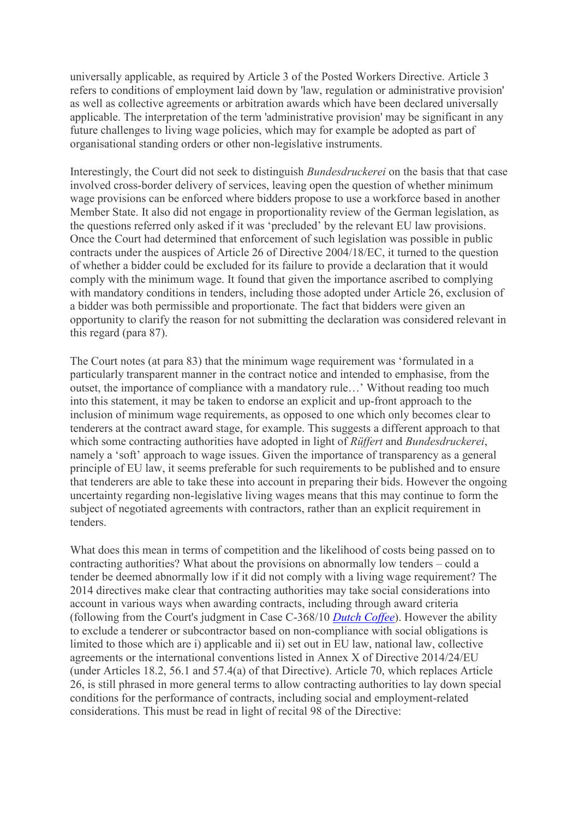universally applicable, as required by Article 3 of the Posted Workers Directive. Article 3 refers to conditions of employment laid down by 'law, regulation or administrative provision' as well as collective agreements or arbitration awards which have been declared universally applicable. The interpretation of the term 'administrative provision' may be significant in any future challenges to living wage policies, which may for example be adopted as part of organisational standing orders or other non-legislative instruments.

Interestingly, the Court did not seek to distinguish *Bundesdruckerei* on the basis that that case involved cross-border delivery of services, leaving open the question of whether minimum wage provisions can be enforced where bidders propose to use a workforce based in another Member State. It also did not engage in proportionality review of the German legislation, as the questions referred only asked if it was 'precluded' by the relevant EU law provisions. Once the Court had determined that enforcement of such legislation was possible in public contracts under the auspices of Article 26 of Directive 2004/18/EC, it turned to the question of whether a bidder could be excluded for its failure to provide a declaration that it would comply with the minimum wage. It found that given the importance ascribed to complying with mandatory conditions in tenders, including those adopted under Article 26, exclusion of a bidder was both permissible and proportionate. The fact that bidders were given an opportunity to clarify the reason for not submitting the declaration was considered relevant in this regard (para 87).

The Court notes (at para 83) that the minimum wage requirement was 'formulated in a particularly transparent manner in the contract notice and intended to emphasise, from the outset, the importance of compliance with a mandatory rule…' Without reading too much into this statement, it may be taken to endorse an explicit and up-front approach to the inclusion of minimum wage requirements, as opposed to one which only becomes clear to tenderers at the contract award stage, for example. This suggests a different approach to that which some contracting authorities have adopted in light of *Rüffert* and *Bundesdruckerei*, namely a 'soft' approach to wage issues. Given the importance of transparency as a general principle of EU law, it seems preferable for such requirements to be published and to ensure that tenderers are able to take these into account in preparing their bids. However the ongoing uncertainty regarding non-legislative living wages means that this may continue to form the subject of negotiated agreements with contractors, rather than an explicit requirement in tenders.

What does this mean in terms of competition and the likelihood of costs being passed on to contracting authorities? What about the provisions on abnormally low tenders – could a tender be deemed abnormally low if it did not comply with a living wage requirement? The 2014 directives make clear that contracting authorities may take social considerations into account in various ways when awarding contracts, including through award criteria (following from the Court's judgment in Case C-368/10 *[Dutch Coffee](http://curia.europa.eu/juris/celex.jsf?celex=62010CJ0368&lang1=en&type=TXT&ancre=)*). However the ability to exclude a tenderer or subcontractor based on non-compliance with social obligations is limited to those which are i) applicable and ii) set out in EU law, national law, collective agreements or the international conventions listed in Annex X of Directive 2014/24/EU (under Articles 18.2, 56.1 and 57.4(a) of that Directive). Article 70, which replaces Article 26, is still phrased in more general terms to allow contracting authorities to lay down special conditions for the performance of contracts, including social and employment-related considerations. This must be read in light of recital 98 of the Directive: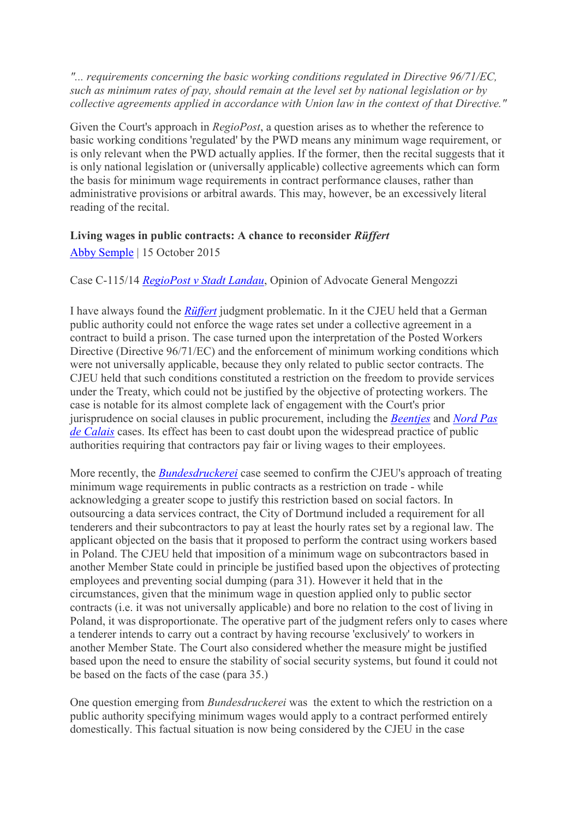*"... requirements concerning the basic working conditions regulated in Directive 96/71/EC, such as minimum rates of pay, should remain at the level set by national legislation or by collective agreements applied in accordance with Union law in the context of that Directive."*

Given the Court's approach in *RegioPost*, a question arises as to whether the reference to basic working conditions 'regulated' by the PWD means any minimum wage requirement, or is only relevant when the PWD actually applies. If the former, then the recital suggests that it is only national legislation or (universally applicable) collective agreements which can form the basis for minimum wage requirements in contract performance clauses, rather than administrative provisions or arbitral awards. This may, however, be an excessively literal reading of the recital.

#### **Living wages in public contracts: A chance to reconsider** *Rüffert*

[Abby Semple](https://websitebuilder.1and1.co.uk/xml/wfxdirect/preview;jsessionid=FEA5B493FAB6DAF0BF61D78F462751D7.TCpfix101a?page=4&mode=preview) | 15 October 2015

#### Case C-115/14 *[RegioPost v Stadt Landau](http://curia.europa.eu/juris/celex.jsf?celex=62014CC0115&lang1=en&type=TXT&ancre=)*, Opinion of Advocate General Mengozzi

I have always found the *[Rüffert](http://curia.europa.eu/juris/liste.jsf?language=en&num=C-346/06)* judgment problematic. In it the CJEU held that a German public authority could not enforce the wage rates set under a collective agreement in a contract to build a prison. The case turned upon the interpretation of the Posted Workers Directive (Directive 96/71/EC) and the enforcement of minimum working conditions which were not universally applicable, because they only related to public sector contracts. The CJEU held that such conditions constituted a restriction on the freedom to provide services under the Treaty, which could not be justified by the objective of protecting workers. The case is notable for its almost complete lack of engagement with the Court's prior jurisprudence on social clauses in public procurement, including the *[Beentjes](http://curia.europa.eu/juris/celex.jsf?celex=61987CJ0031&lang1=en&type=TXT&ancre=)* and *[Nord Pas](http://curia.europa.eu/juris/celex.jsf?celex=61998CJ0225&lang1=en&type=TXT&ancre=)  [de Calais](http://curia.europa.eu/juris/celex.jsf?celex=61998CJ0225&lang1=en&type=TXT&ancre=)* cases. Its effect has been to cast doubt upon the widespread practice of public authorities requiring that contractors pay fair or living wages to their employees.

More recently, the *[Bundesdruckerei](http://curia.europa.eu/juris/celex.jsf?celex=62013CJ0549&lang1=en&type=TXT&ancre=)* case seemed to confirm the CJEU's approach of treating minimum wage requirements in public contracts as a restriction on trade - while acknowledging a greater scope to justify this restriction based on social factors. In outsourcing a data services contract, the City of Dortmund included a requirement for all tenderers and their subcontractors to pay at least the hourly rates set by a regional law. The applicant objected on the basis that it proposed to perform the contract using workers based in Poland. The CJEU held that imposition of a minimum wage on subcontractors based in another Member State could in principle be justified based upon the objectives of protecting employees and preventing social dumping (para 31). However it held that in the circumstances, given that the minimum wage in question applied only to public sector contracts (i.e. it was not universally applicable) and bore no relation to the cost of living in Poland, it was disproportionate. The operative part of the judgment refers only to cases where a tenderer intends to carry out a contract by having recourse 'exclusively' to workers in another Member State. The Court also considered whether the measure might be justified based upon the need to ensure the stability of social security systems, but found it could not be based on the facts of the case (para 35.)

One question emerging from *Bundesdruckerei* was the extent to which the restriction on a public authority specifying minimum wages would apply to a contract performed entirely domestically. This factual situation is now being considered by the CJEU in the case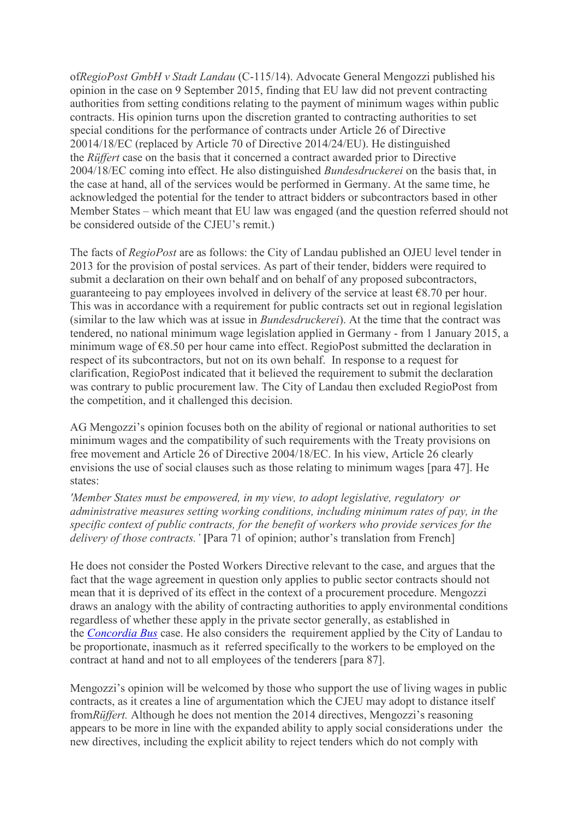of*RegioPost GmbH v Stadt Landau* (C-115/14). Advocate General Mengozzi published his opinion in the case on 9 September 2015, finding that EU law did not prevent contracting authorities from setting conditions relating to the payment of minimum wages within public contracts. His opinion turns upon the discretion granted to contracting authorities to set special conditions for the performance of contracts under Article 26 of Directive 20014/18/EC (replaced by Article 70 of Directive 2014/24/EU). He distinguished the *Rüffert* case on the basis that it concerned a contract awarded prior to Directive 2004/18/EC coming into effect. He also distinguished *Bundesdruckerei* on the basis that, in the case at hand, all of the services would be performed in Germany. At the same time, he acknowledged the potential for the tender to attract bidders or subcontractors based in other Member States – which meant that EU law was engaged (and the question referred should not be considered outside of the CJEU's remit.)

The facts of *RegioPost* are as follows: the City of Landau published an OJEU level tender in 2013 for the provision of postal services. As part of their tender, bidders were required to submit a declaration on their own behalf and on behalf of any proposed subcontractors, guaranteeing to pay employees involved in delivery of the service at least  $\epsilon$ 8.70 per hour. This was in accordance with a requirement for public contracts set out in regional legislation (similar to the law which was at issue in *Bundesdruckerei*). At the time that the contract was tendered, no national minimum wage legislation applied in Germany - from 1 January 2015, a minimum wage of €8.50 per hour came into effect. RegioPost submitted the declaration in respect of its subcontractors, but not on its own behalf. In response to a request for clarification, RegioPost indicated that it believed the requirement to submit the declaration was contrary to public procurement law. The City of Landau then excluded RegioPost from the competition, and it challenged this decision.

AG Mengozzi's opinion focuses both on the ability of regional or national authorities to set minimum wages and the compatibility of such requirements with the Treaty provisions on free movement and Article 26 of Directive 2004/18/EC. In his view, Article 26 clearly envisions the use of social clauses such as those relating to minimum wages [para 47]. He states:

*'Member States must be empowered, in my view, to adopt legislative, regulatory or administrative measures setting working conditions, including minimum rates of pay, in the specific context of public contracts, for the benefit of workers who provide services for the delivery of those contracts.'* **[**Para 71 of opinion; author's translation from French]

He does not consider the Posted Workers Directive relevant to the case, and argues that the fact that the wage agreement in question only applies to public sector contracts should not mean that it is deprived of its effect in the context of a procurement procedure. Mengozzi draws an analogy with the ability of contracting authorities to apply environmental conditions regardless of whether these apply in the private sector generally, as established in the *[Concordia Bus](http://curia.europa.eu/juris/celex.jsf?celex=61999CJ0513&lang1=en&type=TXT&ancre=)* case. He also considers the requirement applied by the City of Landau to be proportionate, inasmuch as it referred specifically to the workers to be employed on the contract at hand and not to all employees of the tenderers [para 87].

Mengozzi's opinion will be welcomed by those who support the use of living wages in public contracts, as it creates a line of argumentation which the CJEU may adopt to distance itself from*Rüffert.* Although he does not mention the 2014 directives, Mengozzi's reasoning appears to be more in line with the expanded ability to apply social considerations under the new directives, including the explicit ability to reject tenders which do not comply with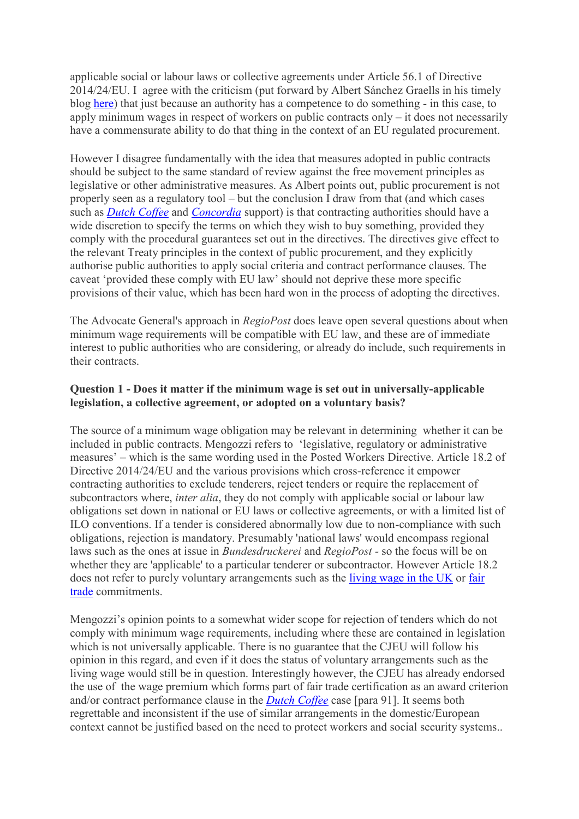applicable social or labour laws or collective agreements under Article 56.1 of Directive 2014/24/EU. I agree with the criticism (put forward by Albert Sánchez Graells in his timely blog [here\)](http://howtocrackanut.blogspot.co.uk/2015/09/ag-opinion-favours-minimum-pay-in.html) that just because an authority has a competence to do something - in this case, to apply minimum wages in respect of workers on public contracts only – it does not necessarily have a commensurate ability to do that thing in the context of an EU regulated procurement.

However I disagree fundamentally with the idea that measures adopted in public contracts should be subject to the same standard of review against the free movement principles as legislative or other administrative measures. As Albert points out, public procurement is not properly seen as a regulatory tool – but the conclusion I draw from that (and which cases such as *[Dutch Coffee](http://curia.europa.eu/juris/celex.jsf?celex=62010CJ0368&lang1=en&type=TXT&ancre=)* and *[Concordia](http://curia.europa.eu/juris/celex.jsf?celex=61999CJ0513&lang1=en&type=TXT&ancre=)* support) is that contracting authorities should have a wide discretion to specify the terms on which they wish to buy something, provided they comply with the procedural guarantees set out in the directives. The directives give effect to the relevant Treaty principles in the context of public procurement, and they explicitly authorise public authorities to apply social criteria and contract performance clauses. The caveat 'provided these comply with EU law' should not deprive these more specific provisions of their value, which has been hard won in the process of adopting the directives.

The Advocate General's approach in *RegioPost* does leave open several questions about when minimum wage requirements will be compatible with EU law, and these are of immediate interest to public authorities who are considering, or already do include, such requirements in their contracts.

### **Question 1 - Does it matter if the minimum wage is set out in universally-applicable legislation, a collective agreement, or adopted on a voluntary basis?**

The source of a minimum wage obligation may be relevant in determining whether it can be included in public contracts. Mengozzi refers to 'legislative, regulatory or administrative measures' – which is the same wording used in the Posted Workers Directive. Article 18.2 of Directive 2014/24/EU and the various provisions which cross-reference it empower contracting authorities to exclude tenderers, reject tenders or require the replacement of subcontractors where, *inter alia*, they do not comply with applicable social or labour law obligations set down in national or EU laws or collective agreements, or with a limited list of ILO conventions. If a tender is considered abnormally low due to non-compliance with such obligations, rejection is mandatory. Presumably 'national laws' would encompass regional laws such as the ones at issue in *Bundesdruckerei* and *RegioPost -* so the focus will be on whether they are 'applicable' to a particular tenderer or subcontractor. However Article 18.2 does not refer to purely voluntary arrangements such as the [living wage in the UK](http://www.livingwage.org.uk/) or [fair](http://www.fairtrade.net/)  [trade](http://www.fairtrade.net/) commitments.

Mengozzi's opinion points to a somewhat wider scope for rejection of tenders which do not comply with minimum wage requirements, including where these are contained in legislation which is not universally applicable. There is no guarantee that the CJEU will follow his opinion in this regard, and even if it does the status of voluntary arrangements such as the living wage would still be in question. Interestingly however, the CJEU has already endorsed the use of the wage premium which forms part of fair trade certification as an award criterion and/or contract performance clause in the *[Dutch Coffee](http://curia.europa.eu/juris/celex.jsf?celex=62010CJ0368&lang1=en&type=TXT&ancre=)* case [para 91]. It seems both regrettable and inconsistent if the use of similar arrangements in the domestic/European context cannot be justified based on the need to protect workers and social security systems..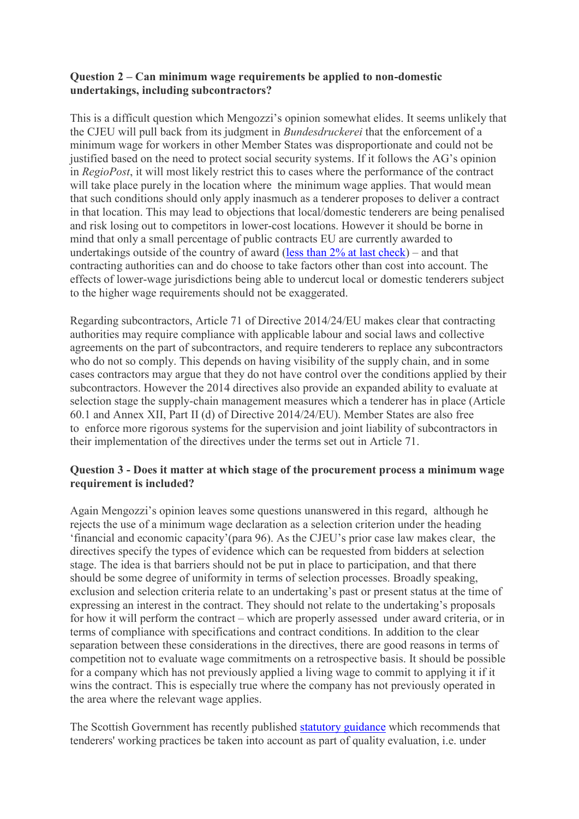### **Question 2 – Can minimum wage requirements be applied to non-domestic undertakings, including subcontractors?**

This is a difficult question which Mengozzi's opinion somewhat elides. It seems unlikely that the CJEU will pull back from its judgment in *Bundesdruckerei* that the enforcement of a minimum wage for workers in other Member States was disproportionate and could not be justified based on the need to protect social security systems. If it follows the AG's opinion in *RegioPost*, it will most likely restrict this to cases where the performance of the contract will take place purely in the location where the minimum wage applies. That would mean that such conditions should only apply inasmuch as a tenderer proposes to deliver a contract in that location. This may lead to objections that local/domestic tenderers are being penalised and risk losing out to competitors in lower-cost locations. However it should be borne in mind that only a small percentage of public contracts EU are currently awarded to undertakings outside of the country of award (less than  $2\%$  at last check) – and that contracting authorities can and do choose to take factors other than cost into account. The effects of lower-wage jurisdictions being able to undercut local or domestic tenderers subject to the higher wage requirements should not be exaggerated.

Regarding subcontractors, Article 71 of Directive 2014/24/EU makes clear that contracting authorities may require compliance with applicable labour and social laws and collective agreements on the part of subcontractors, and require tenderers to replace any subcontractors who do not so comply. This depends on having visibility of the supply chain, and in some cases contractors may argue that they do not have control over the conditions applied by their subcontractors. However the 2014 directives also provide an expanded ability to evaluate at selection stage the supply-chain management measures which a tenderer has in place (Article 60.1 and Annex XII, Part II (d) of Directive 2014/24/EU). Member States are also free to enforce more rigorous systems for the supervision and joint liability of subcontractors in their implementation of the directives under the terms set out in Article 71.

## **Question 3 - Does it matter at which stage of the procurement process a minimum wage requirement is included?**

Again Mengozzi's opinion leaves some questions unanswered in this regard, although he rejects the use of a minimum wage declaration as a selection criterion under the heading 'financial and economic capacity'(para 96). As the CJEU's prior case law makes clear, the directives specify the types of evidence which can be requested from bidders at selection stage. The idea is that barriers should not be put in place to participation, and that there should be some degree of uniformity in terms of selection processes. Broadly speaking, exclusion and selection criteria relate to an undertaking's past or present status at the time of expressing an interest in the contract. They should not relate to the undertaking's proposals for how it will perform the contract – which are properly assessed under award criteria, or in terms of compliance with specifications and contract conditions. In addition to the clear separation between these considerations in the directives, there are good reasons in terms of competition not to evaluate wage commitments on a retrospective basis. It should be possible for a company which has not previously applied a living wage to commit to applying it if it wins the contract. This is especially true where the company has not previously operated in the area where the relevant wage applies.

The Scottish Government has recently published [statutory guidance](http://www.gov.scot/Publications/2015/10/2086) which recommends that tenderers' working practices be taken into account as part of quality evaluation, i.e. under